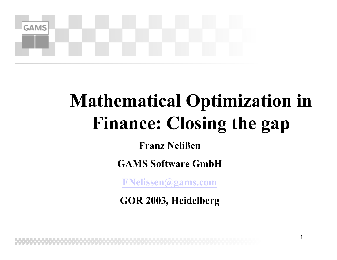

## **Mathematical Optimization in Finance: Closing the gap**

1

**Franz Nelißen**

**GAMS Software GmbH**

**[FNelissen@gams.com](mailto:FNelissen@gams.com)**

**GOR 2003, Heidelberg**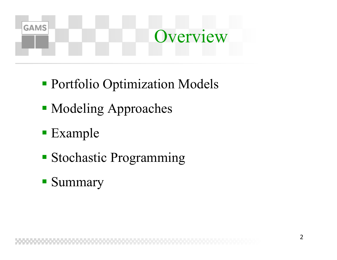

- Portfolio Optimization Models
- **Modeling Approaches**
- Example
- Stochastic Programming
- **Summary**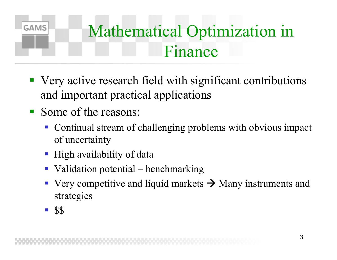

- Very active research field with significant contributions and important practical applications
- Some of the reasons:
	- Continual stream of challenging problems with obvious impact of uncertainty
	- High availability of data
	- Validation potential benchmarking
	- Very competitive and liquid markets  $\rightarrow$  Many instruments and strategies
	- $\blacksquare$  \$\$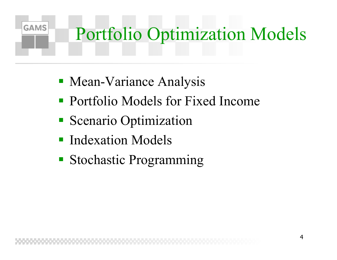# Portfolio Optimization Models

- Mean-Variance Analysis
- Portfolio Models for Fixed Income
- **Scenario Optimization**
- **Indexation Models**

**GAMS** 

**Stochastic Programming**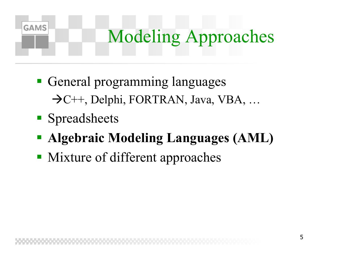### Modeling Approaches

- **General programming languages**  $\rightarrow$ C++, Delphi, FORTRAN, Java, VBA, ...
- **Spreadsheets**

- **Algebraic Modeling Languages (AML)**
- Mixture of different approaches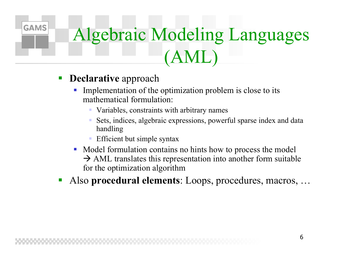## Algebraic Modeling Languages (AML)

 $\mathcal{L}_{\mathcal{A}}$ **Declarative** approach

- Implementation of the optimization problem is close to its mathematical formulation:
	- Variables, constraints with arbitrary names
	- Sets, indices, algebraic expressions, powerful sparse index and data handling
	- Efficient but simple syntax
- Model formulation contains no hints how to process the model  $\rightarrow$  AML translates this representation into another form suitable for the optimization algorithm
- **Service Service** Also **procedural elements**: Loops, procedures, macros, …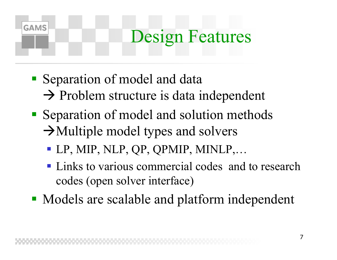#### Design Features

Separation of model and data

- $\rightarrow$  Problem structure is data independent
- Separation of model and solution methods  $\rightarrow$ Multiple model types and solvers
	- LP, MIP, NLP, QP, QPMIP, MINLP,…
	- **Links to various commercial codes and to research** codes (open solver interface)
- Models are scalable and platform independent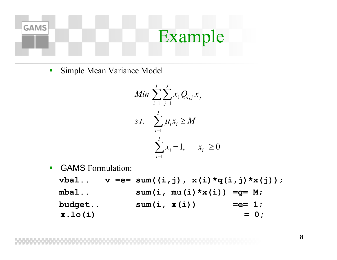

 $\overline{\mathcal{L}}$ Simple Mean Variance Model

$$
Min \sum_{i=1}^{I} \sum_{j=1}^{J} x_i Q_{i,j} x_j
$$
  
s.t. 
$$
\sum_{i=1}^{I} \mu_i x_i \ge M
$$

$$
\sum_{i=1}^{I} x_i = 1, \quad x_i \ge 0
$$

 $\mathcal{L}_{\mathcal{A}}$ **GAMS** Formulation:

> $v$ bal..  $v == sum((i,j), x(i)*q(i,j)*x(j));$ **mbal.. sum(i, mu(i)\*x(i)) =g= M; budget..** sum(i, x(i)) = = = 1;  $x.lo(i) = 0;$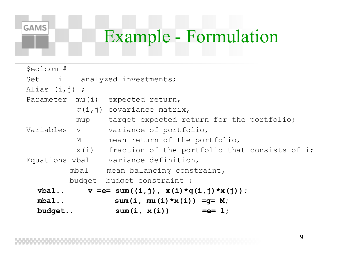#### Example - Formulation

| \$eolcom #       |                             |                                                    |  |  |  |
|------------------|-----------------------------|----------------------------------------------------|--|--|--|
|                  | Set i analyzed investments; |                                                    |  |  |  |
| Alias $(i, j)$ ; |                             |                                                    |  |  |  |
|                  |                             | Parameter mu(i) expected return,                   |  |  |  |
|                  |                             | $q(i, j)$ covariance matrix,                       |  |  |  |
|                  |                             | mup target expected return for the portfolio;      |  |  |  |
|                  |                             | Variables v variance of portfolio,                 |  |  |  |
|                  | M                           | mean return of the portfolio,                      |  |  |  |
|                  |                             | x(i) fraction of the portfolio that consists of i; |  |  |  |
|                  |                             | Equations vbal variance definition,                |  |  |  |
|                  | mbal                        | mean balancing constraint,                         |  |  |  |
|                  |                             | budget budget constraint;                          |  |  |  |
|                  |                             | vbal $v == sum((i,j), x(i) * q(i,j) * x(j));$      |  |  |  |
| $mbal.$ .        |                             | sum(i, mu(i) $\star$ x(i)) = q = M;                |  |  |  |
| budget           |                             | $sum(i, x(i)) == 1;$                               |  |  |  |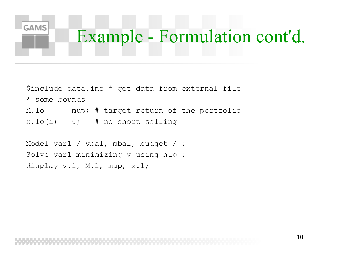## Example - Formulation cont'd.

\$include data.inc # get data from external file \* some bounds $M.Lo = mup; # target return of the portfolio$  $x.lo(i) = 0;$  # no short selling

Model var1 / vbal, mbal, budget / ; Solve var1 minimizing v using nlp ; display v.l, M.l, mup, x.l;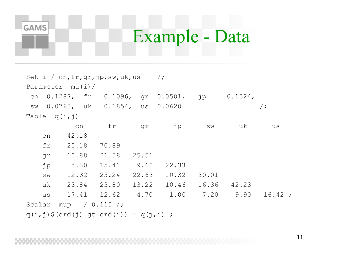#### Example - Data

Set i / cn,  $fr,qr,jp,sw,uk,us$  /; Parameter mu(i)/ cn 0.1287, fr 0.1096, gr 0.0501, jp 0.1524, sw 0.0763, uk 0.1854, us 0.0620 /; Table  $q(i, j)$ cn fr gr jp sw uk us cn 42.18fr 20.18 70.89gr 10.88 21.58 25.51 jp 5.30 15.41 9.60 22.33 sw 12.32 23.24 22.63 10.32 30.01uk 23.84 23.80 13.22 10.46 16.36 42.23us 17.41 12.62 4.70 1.00 7.20 9.90 16.42; Scalar mup  $/ 0.115 /$ ;  $q(i, j)$ \$(ord(j) qt ord(i)) =  $q(j, i)$ ;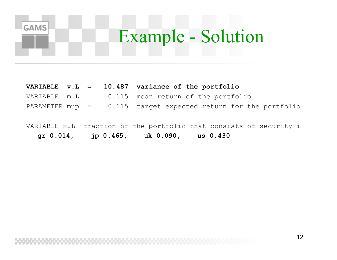#### Example - Solution

#### **VARIABLE v.L = 10.487 variance of the portfolio**

- VARIABLE  $m.L = 0.115$  mean return of the portfolio
- PARAMETER mup  $=$  0.115 target expected return for the portfolio
- VARIABLE x.L fraction of the portfolio that consists of security i **gr 0.014, jp 0.465, uk 0.090, us 0.430**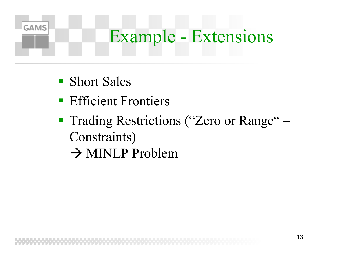#### Example - Extensions

**Short Sales** 

- **Efficient Frontiers**
- **Trading Restrictions ("Zero or Range"** Constraints)
	- $\rightarrow$  MINLP Problem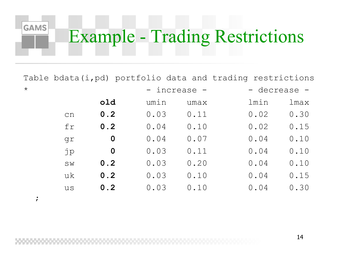#### Example - Trading Restrictions

Table bdata(i,pd) portfolio data and trading restrictions

| $\star$ |    |             | - increase - |      | - decrease - |      |
|---------|----|-------------|--------------|------|--------------|------|
|         |    | old         | umin         | umax | lmin         | lmax |
|         | cn | 0.2         | 0.03         | 0.11 | 0.02         | 0.30 |
|         | fr | 0.2         | 0.04         | 0.10 | 0.02         | 0.15 |
|         | gr | $\mathbf 0$ | 0.04         | 0.07 | 0.04         | 0.10 |
|         | jp | $\mathbf 0$ | 0.03         | 0.11 | 0.04         | 0.10 |
|         | SW | 0.2         | 0.03         | 0.20 | 0.04         | 0.10 |
|         | uk | 0.2         | 0.03         | 0.10 | 0.04         | 0.15 |
|         | us | 0.2         | 0.03         | 0.10 | 0.04         | 0.30 |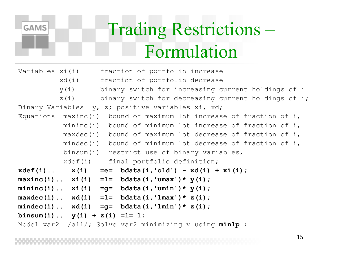

#### Trading Restrictions – Formulation

| Variables xi(i) |                                   | fraction of portfolio increase                                         |
|-----------------|-----------------------------------|------------------------------------------------------------------------|
|                 | xd(i)                             | fraction of portfolio decrease                                         |
|                 | y(i)                              | binary switch for increasing current holdings of i                     |
|                 | $Z(\dot{\perp})$                  | binary switch for decreasing current holdings of i;                    |
|                 |                                   | Binary Variables y, z; positive variables xi, xd;                      |
|                 |                                   | Equations maxinc(i) bound of maximum lot increase of fraction of $i$ , |
|                 |                                   | mininc(i) bound of minimum lot increase of fraction of i,              |
|                 |                                   | maxdec(i) bound of maximum lot decrease of fraction of i,              |
|                 | $m$ indec $(i)$                   | bound of minimum lot decrease of fraction of i,                        |
|                 | binsum(i)                         | restrict use of binary variables,                                      |
|                 | xdef(i)                           | final portfolio definition;                                            |
|                 |                                   | $xdef(i) x(i) =e= bdata(i, 'old') - xd(i) + xi(i);$                    |
|                 |                                   | maxinc(i) $xi(i) = l = bdata(i, 'umax') * y(i);$                       |
|                 |                                   | mininc(i) $xi(i) = g= \text{bdata}(i, 'umin') * y(i);$                 |
|                 |                                   | maxdec(i) $xd(i) =l = bdata(i, 'lmax') * z(i);$                        |
|                 |                                   | mindec(i) $xd(i) =q= bdata(i, 'lmin') * z(i);$                         |
|                 | binsum(i) $y(i) + z(i) = l = 1$ ; |                                                                        |
|                 |                                   | Model var2 /all/; Solve var2 minimizing v using $minlp$ ;              |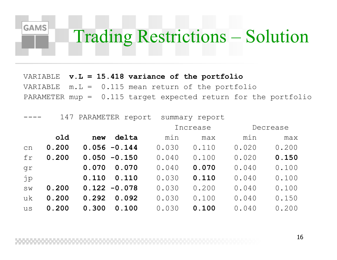#### **GAMS** Trading Restrictions – Solution

VARIABLE **v.L = 15.418 variance of the portfolio** VARIABLE  $m.L = 0.115$  mean return of the portfolio PARAMETER mup = 0.115 target expected return for the portfolio

|    | 147   |                 | PARAMETER report |          | summary report |          |       |
|----|-------|-----------------|------------------|----------|----------------|----------|-------|
|    |       |                 |                  | Increase |                | Decrease |       |
|    | old   | new             | delta            | min      | max            | min      | max   |
| cn | 0.200 | $0.056 - 0.144$ |                  | 0.030    | 0.110          | 0.020    | 0.200 |
| fr | 0.200 | $0.050 - 0.150$ |                  | 0.040    | 0.100          | 0.020    | 0.150 |
| qr |       | 0.070           | 0.070            | 0.040    | 0.070          | 0.040    | 0.100 |
| jp |       | 0.110           | 0.110            | 0.030    | 0.110          | 0.040    | 0.100 |
| SW | 0.200 | $0.122 - 0.078$ |                  | 0.030    | 0.200          | 0.040    | 0.100 |
| uk | 0.200 | 0.292           | 0.092            | 0.030    | 0.100          | 0.040    | 0.150 |
| us | 0.200 | 0.300           | 0.100            | 0.030    | 0.100          | 0.040    | 0.200 |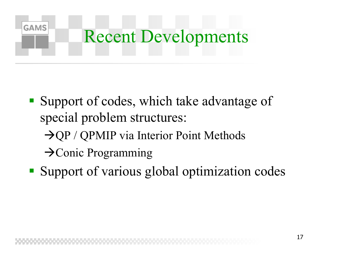

- Support of codes, which take advantage of special problem structures:
	- $\rightarrow$  QP / QPMIP via Interior Point Methods
	- $\rightarrow$  Conic Programming
- **Support of various global optimization codes**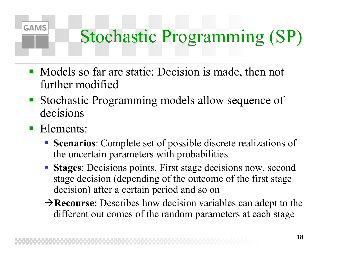## Stochastic Programming (SP)

- Models so far are static: Decision is made, then not further modified
- Stochastic Programming models allow sequence of decisions
- Elements:

- **Scenarios**: Complete set of possible discrete realizations of the uncertain parameters with probabilities
- **Stages:** Decisions points. First stage decisions now, second stage decision (depending of the outcome of the first stage decision) after a certain period and so on
- $→$ **Recourse**: Describes how decision variables can adept to the different out comes of the random parameters at each stage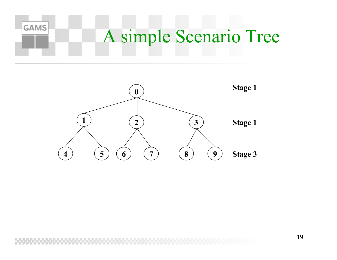

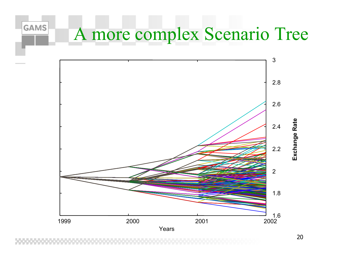#### A more complex Scenario Tree

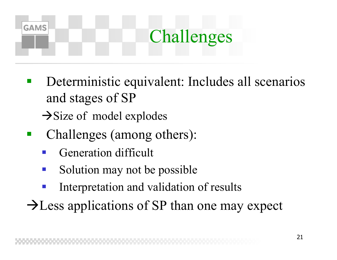## Challenges

- $\mathbb{R}^3$  Deterministic equivalent: Includes all scenarios and stages of SP  $\rightarrow$ Size of model explodes
- $\mathbb{R}^3$  Challenges (among others):
	- $\mathbb{R}^3$ Generation difficult

- Solution may not be possible
- Interpretation and validation of results
- $\rightarrow$  Less applications of SP than one may expect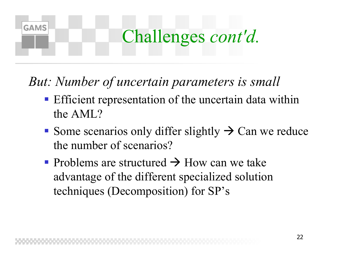#### Challenges *cont'd.*

*But: Number of uncertain parameters is small*

- **Efficient representation of the uncertain data within** the AML?
- Some scenarios only differ slightly  $\rightarrow$  Can we reduce the number of scenarios?
- Problems are structured  $\rightarrow$  How can we take advantage of the different specialized solution techniques (Decomposition) for SP's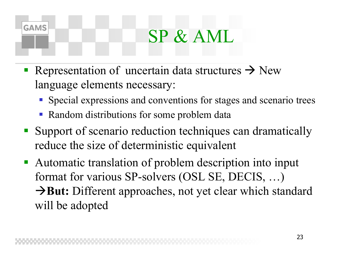#### SP & AML

- Representation of uncertain data structures  $\rightarrow$  New language elements necessary:
	- Special expressions and conventions for stages and scenario trees
	- Random distributions for some problem data

- Support of scenario reduction techniques can dramatically reduce the size of deterministic equivalent
- Automatic translation of problem description into input format for various SP-solvers (OSL SE, DECIS, …) **→But:** Different approaches, not yet clear which standard will be adopted